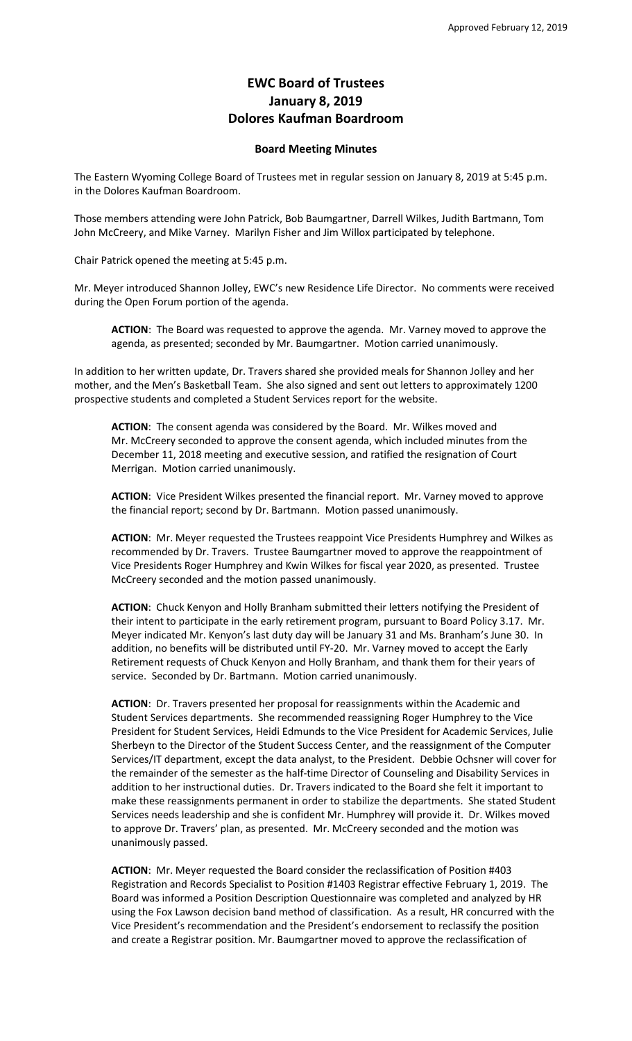## **EWC Board of Trustees January 8, 2019 Dolores Kaufman Boardroom**

## **Board Meeting Minutes**

The Eastern Wyoming College Board of Trustees met in regular session on January 8, 2019 at 5:45 p.m. in the Dolores Kaufman Boardroom.

Those members attending were John Patrick, Bob Baumgartner, Darrell Wilkes, Judith Bartmann, Tom John McCreery, and Mike Varney. Marilyn Fisher and Jim Willox participated by telephone.

Chair Patrick opened the meeting at 5:45 p.m.

Mr. Meyer introduced Shannon Jolley, EWC's new Residence Life Director. No comments were received during the Open Forum portion of the agenda.

**ACTION**: The Board was requested to approve the agenda. Mr. Varney moved to approve the agenda, as presented; seconded by Mr. Baumgartner. Motion carried unanimously.

In addition to her written update, Dr. Travers shared she provided meals for Shannon Jolley and her mother, and the Men's Basketball Team. She also signed and sent out letters to approximately 1200 prospective students and completed a Student Services report for the website.

**ACTION**: The consent agenda was considered by the Board. Mr. Wilkes moved and Mr. McCreery seconded to approve the consent agenda, which included minutes from the December 11, 2018 meeting and executive session, and ratified the resignation of Court Merrigan. Motion carried unanimously.

**ACTION**: Vice President Wilkes presented the financial report. Mr. Varney moved to approve the financial report; second by Dr. Bartmann. Motion passed unanimously.

**ACTION**: Mr. Meyer requested the Trustees reappoint Vice Presidents Humphrey and Wilkes as recommended by Dr. Travers. Trustee Baumgartner moved to approve the reappointment of Vice Presidents Roger Humphrey and Kwin Wilkes for fiscal year 2020, as presented. Trustee McCreery seconded and the motion passed unanimously.

**ACTION**: Chuck Kenyon and Holly Branham submitted their letters notifying the President of their intent to participate in the early retirement program, pursuant to Board Policy 3.17. Mr. Meyer indicated Mr. Kenyon's last duty day will be January 31 and Ms. Branham's June 30. In addition, no benefits will be distributed until FY-20. Mr. Varney moved to accept the Early Retirement requests of Chuck Kenyon and Holly Branham, and thank them for their years of service. Seconded by Dr. Bartmann. Motion carried unanimously.

**ACTION**: Dr. Travers presented her proposal for reassignments within the Academic and Student Services departments. She recommended reassigning Roger Humphrey to the Vice President for Student Services, Heidi Edmunds to the Vice President for Academic Services, Julie Sherbeyn to the Director of the Student Success Center, and the reassignment of the Computer Services/IT department, except the data analyst, to the President. Debbie Ochsner will cover for the remainder of the semester as the half-time Director of Counseling and Disability Services in addition to her instructional duties. Dr. Travers indicated to the Board she felt it important to make these reassignments permanent in order to stabilize the departments. She stated Student Services needs leadership and she is confident Mr. Humphrey will provide it. Dr. Wilkes moved to approve Dr. Travers' plan, as presented. Mr. McCreery seconded and the motion was unanimously passed.

**ACTION**: Mr. Meyer requested the Board consider the reclassification of Position #403 Registration and Records Specialist to Position #1403 Registrar effective February 1, 2019. The Board was informed a Position Description Questionnaire was completed and analyzed by HR using the Fox Lawson decision band method of classification. As a result, HR concurred with the Vice President's recommendation and the President's endorsement to reclassify the position and create a Registrar position. Mr. Baumgartner moved to approve the reclassification of